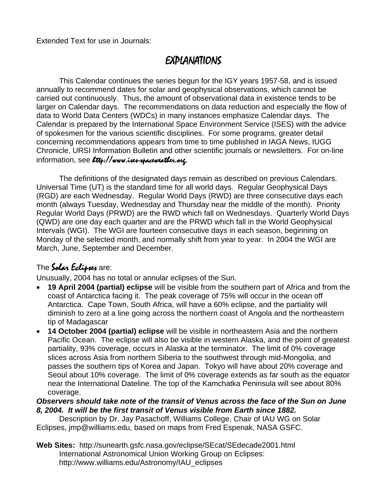Extended Text for use in Journals:

# EXPLANATIONS

This Calendar continues the series begun for the IGY years 1957-58, and is issued annually to recommend dates for solar and geophysical observations, which cannot be carried out continuously. Thus, the amount of observational data in existence tends to be larger on Calendar days. The recommendations on data reduction and especially the flow of data to World Data Centers (WDCs) in many instances emphasize Calendar days. The Calendar is prepared by the International Space Environment Service (ISES) with the advice of spokesmen for the various scientific disciplines. For some programs, greater detail concerning recommendations appears from time to time published in IAGA News, IUGG Chronicle, URSI Information Bulletin and other scientific journals or newsletters. For on-line information, see Ltth://www.ises-spaceweather.org.

The definitions of the designated days remain as described on previous Calendars. Universal Time (UT) is the standard time for all world days. Regular Geophysical Days (RGD) are each Wednesday. Regular World Days (RWD) are three consecutive days each month (always Tuesday, Wednesday and Thursday near the middle of the month). Priority Regular World Days (PRWD) are the RWD which fall on Wednesdays. Quarterly World Days (QWD) are one day each quarter and are the PRWD which fall in the World Geophysical Intervals (WGI). The WGI are fourteen consecutive days in each season, beginning on Monday of the selected month, and normally shift from year to year. In 2004 the WGI are March, June, September and December.

## The Solar Eclipses are:

Unusually, 2004 has no total or annular eclipses of the Sun.

- **19 April 2004 (partial) eclipse** will be visible from the southern part of Africa and from the coast of Antarctica facing it. The peak coverage of 75% will occur in the ocean off Antarctica. Cape Town, South Africa, will have a 60% eclipse, and the partiality will diminish to zero at a line going across the northern coast of Angola and the northeastern tip of Madagascar
- **14 October 2004 (partial) eclipse** will be visible in northeastern Asia and the northern Pacific Ocean. The eclipse will also be visible in western Alaska, and the point of greatest partiality, 93% coverage, occurs in Alaska at the terminator. The limit of 0% coverage slices across Asia from northern Siberia to the southwest through mid-Mongolia, and passes the southern tips of Korea and Japan. Tokyo will have about 20% coverage and Seoul about 10% coverage. The limit of 0% coverage extends as far south as the equator near the International Dateline. The top of the Kamchatka Peninsula will see about 80% coverage.

#### *Observers should take note of the transit of Venus across the face of the Sun on June 8, 2004. It will be the first transit of Venus visible from Earth since 1882.*

 Description by Dr. Jay Pasachoff, Williams College, Chair of IAU WG on Solar Eclipses, jmp@williams.edu, based on maps from Fred Espenak, NASA GSFC.

**Web Sites:** http://sunearth.gsfc.nasa.gov/eclipse/SEcat/SEdecade2001.html International Astronomical Union Working Group on Eclipses: http://www.williams.edu/Astronomy/IAU\_eclipses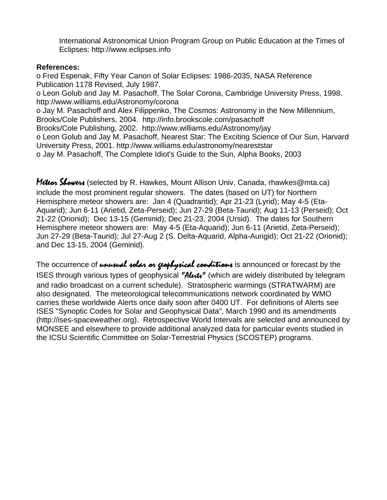International Astronomical Union Program Group on Public Education at the Times of Eclipses: http://www.eclipses.info

#### **References:**

o Fred Espenak, Fifty Year Canon of Solar Eclipses: 1986-2035, NASA Reference Publication 1178 Revised, July 1987. o Leon Golub and Jay M. Pasachoff, The Solar Corona, Cambridge University Press, 1998. http://www.williams.edu/Astronomy/corona o Jay M. Pasachoff and Alex Filippenko, The Cosmos: Astronomy in the New Millennium, Brooks/Cole Publishers, 2004. http://info.brookscole.com/pasachoff Brooks/Cole Publishing, 2002. http://www.williams.edu/Astronomy/jay o Leon Golub and Jay M. Pasachoff, Nearest Star: The Exciting Science of Our Sun, Harvard University Press, 2001. http://www.williams.edu/astronomy/neareststar o Jay M. Pasachoff, The Complete Idiot's Guide to the Sun, Alpha Books, 2003

Meteon Showens (selected by R. Hawkes, Mount Allison Univ, Canada, rhawkes@mta.ca) include the most prominent regular showers. The dates (based on UT) for Northern Hemisphere meteor showers are: Jan 4 (Quadrantid); Apr 21-23 (Lyrid); May 4-5 (Eta-Aquarid); Jun 6-11 (Arietid, Zeta-Perseid); Jun 27-29 (Beta-Taurid); Aug 11-13 (Perseid); Oct 21-22 (Orionid); Dec 13-15 (Geminid); Dec 21-23, 2004 (Ursid). The dates for Southern Hemisphere meteor showers are: May 4-5 (Eta-Aquarid); Jun 6-11 (Arietid, Zeta-Perseid); Jun 27-29 (Beta-Taurid); Jul 27-Aug 2 (S. Delta-Aquarid, Alpha-Aurigid); Oct 21-22 (Orionid); and Dec 13-15, 2004 (Geminid).

The occurrence of unusual solar or geophysical conditions is announced or forecast by the ISES through various types of geophysical "Alext" (which are widely distributed by telegram and radio broadcast on a current schedule). Stratospheric warmings (STRATWARM) are also designated. The meteorological telecommunications network coordinated by WMO carries these worldwide Alerts once daily soon after 0400 UT. For definitions of Alerts see ISES "Synoptic Codes for Solar and Geophysical Data", March 1990 and its amendments (http://ises-spaceweather.org). Retrospective World Intervals are selected and announced by MONSEE and elsewhere to provide additional analyzed data for particular events studied in the ICSU Scientific Committee on Solar-Terrestrial Physics (SCOSTEP) programs.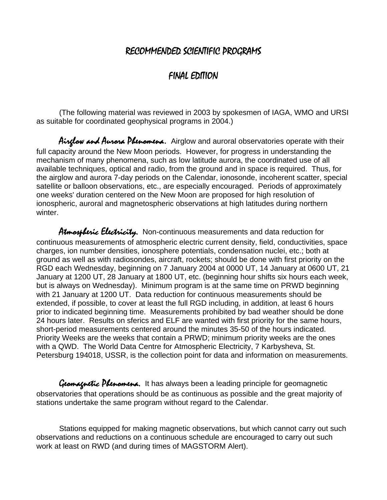## RECOMMENDED SCIENTIFIC PROGRAMS

## FINAL EDITION

(The following material was reviewed in 2003 by spokesmen of IAGA, WMO and URSI as suitable for coordinated geophysical programs in 2004.)

Airglow and Aurora Phenomena. Airglow and auroral observatories operate with their full capacity around the New Moon periods. However, for progress in understanding the mechanism of many phenomena, such as low latitude aurora, the coordinated use of all available techniques, optical and radio, from the ground and in space is required. Thus, for the airglow and aurora 7-day periods on the Calendar, ionosonde, incoherent scatter, special satellite or balloon observations, etc., are especially encouraged. Periods of approximately one weeks' duration centered on the New Moon are proposed for high resolution of ionospheric, auroral and magnetospheric observations at high latitudes during northern winter.

Atmospheric Electricity. Non-continuous measurements and data reduction for continuous measurements of atmospheric electric current density, field, conductivities, space charges, ion number densities, ionosphere potentials, condensation nuclei, etc.; both at ground as well as with radiosondes, aircraft, rockets; should be done with first priority on the RGD each Wednesday, beginning on 7 January 2004 at 0000 UT, 14 January at 0600 UT, 21 January at 1200 UT, 28 January at 1800 UT, etc. (beginning hour shifts six hours each week, but is always on Wednesday). Minimum program is at the same time on PRWD beginning with 21 January at 1200 UT. Data reduction for continuous measurements should be extended, if possible, to cover at least the full RGD including, in addition, at least 6 hours prior to indicated beginning time. Measurements prohibited by bad weather should be done 24 hours later. Results on sferics and ELF are wanted with first priority for the same hours, short-period measurements centered around the minutes 35-50 of the hours indicated. Priority Weeks are the weeks that contain a PRWD; minimum priority weeks are the ones with a QWD. The World Data Centre for Atmospheric Electricity, 7 Karbysheva, St. Petersburg 194018, USSR, is the collection point for data and information on measurements.

Gromagnetic Phenomena. It has always been a leading principle for geomagnetic observatories that operations should be as continuous as possible and the great majority of stations undertake the same program without regard to the Calendar.

Stations equipped for making magnetic observations, but which cannot carry out such observations and reductions on a continuous schedule are encouraged to carry out such work at least on RWD (and during times of MAGSTORM Alert).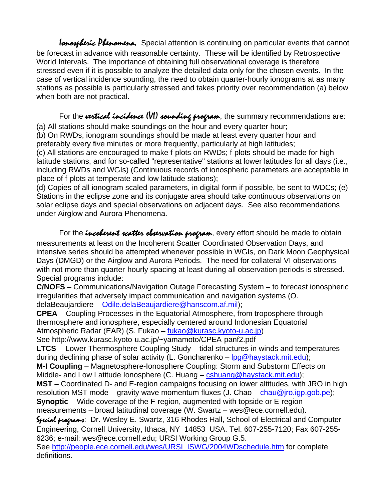Ionospheric Phenomena. Special attention is continuing on particular events that cannot be forecast in advance with reasonable certainty. These will be identified by Retrospective World Intervals. The importance of obtaining full observational coverage is therefore stressed even if it is possible to analyze the detailed data only for the chosen events. In the case of vertical incidence sounding, the need to obtain quarter-hourly ionograms at as many stations as possible is particularly stressed and takes priority over recommendation (a) below when both are not practical.

For the vertical incidence (VI) sounding program, the summary recommendations are: (a) All stations should make soundings on the hour and every quarter hour;

(b) On RWDs, ionogram soundings should be made at least every quarter hour and preferably every five minutes or more frequently, particularly at high latitudes;

(c) All stations are encouraged to make f-plots on RWDs; f-plots should be made for high latitude stations, and for so-called "representative" stations at lower latitudes for all days (i.e., including RWDs and WGIs) (Continuous records of ionospheric parameters are acceptable in place of f-plots at temperate and low latitude stations);

(d) Copies of all ionogram scaled parameters, in digital form if possible, be sent to WDCs; (e) Stations in the eclipse zone and its conjugate area should take continuous observations on solar eclipse days and special observations on adjacent days. See also recommendations under Airglow and Aurora Phenomena.

For the *incoletent scatter observation program*, every effort should be made to obtain measurements at least on the Incoherent Scatter Coordinated Observation Days, and intensive series should be attempted whenever possible in WGIs, on Dark Moon Geophysical Days (DMGD) or the Airglow and Aurora Periods. The need for collateral VI observations with not more than quarter-hourly spacing at least during all observation periods is stressed. Special programs include:

**C/NOFS** – Communications/Navigation Outage Forecasting System – to forecast ionospheric irregularities that adversely impact communication and navigation systems (O. delaBeaujardiere – Odile.delaBeaujardiere@hanscom.af.mil);

**CPEA** – Coupling Processes in the Equatorial Atmosphere, from troposphere through thermosphere and ionosphere, especially centered around Indonesian Equatorial Atmospheric Radar (EAR) (S. Fukao – fukao@kurasc.kyoto-u.ac.jp)

See http://www.kurasc.kyoto-u.ac.jp/~yamamoto/CPEA-panf2.pdf

**LTCS** -- Lower Thermosphere Coupling Study – tidal structures in winds and temperatures during declining phase of solar activity (L. Goncharenko – log@haystack.mit.edu);

**M-I Coupling** – Magnetosphere-Ionosphere Coupling: Storm and Substorm Effects on Middle- and Low Latitude Ionosphere (C. Huang – cshuang@haystack.mit.edu);

**MST** – Coordinated D- and E-region campaigns focusing on lower altitudes, with JRO in high resolution MST mode – gravity wave momentum fluxes (J. Chao – chau@jro.igp.gob.pe); **Synoptic** – Wide coverage of the F-region, augmented with topside or E-region

measurements – broad latitudinal coverage (W. Swartz – wes@ece.cornell.edu).

Suid programs: Dr. Wesley E. Swartz, 316 Rhodes Hall, School of Electrical and Computer Engineering, Cornell University, Ithaca, NY 14853 USA. Tel. 607-255-7120; Fax 607-255- 6236; e-mail: wes@ece.cornell.edu; URSI Working Group G.5.

See http://people.ece.cornell.edu/wes/URSI\_ISWG/2004WDschedule.htm for complete definitions.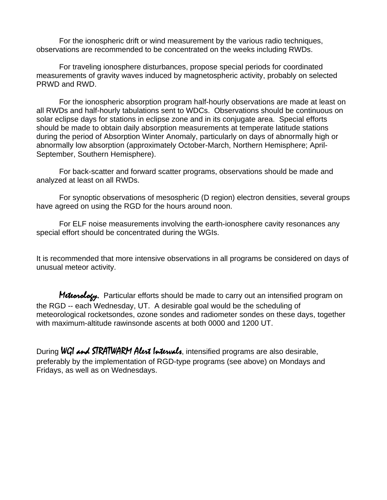For the ionospheric drift or wind measurement by the various radio techniques, observations are recommended to be concentrated on the weeks including RWDs.

For traveling ionosphere disturbances, propose special periods for coordinated measurements of gravity waves induced by magnetospheric activity, probably on selected PRWD and RWD.

For the ionospheric absorption program half-hourly observations are made at least on all RWDs and half-hourly tabulations sent to WDCs. Observations should be continuous on solar eclipse days for stations in eclipse zone and in its conjugate area. Special efforts should be made to obtain daily absorption measurements at temperate latitude stations during the period of Absorption Winter Anomaly, particularly on days of abnormally high or abnormally low absorption (approximately October-March, Northern Hemisphere; April-September, Southern Hemisphere).

For back-scatter and forward scatter programs, observations should be made and analyzed at least on all RWDs.

For synoptic observations of mesospheric (D region) electron densities, several groups have agreed on using the RGD for the hours around noon.

For ELF noise measurements involving the earth-ionosphere cavity resonances any special effort should be concentrated during the WGIs.

It is recommended that more intensive observations in all programs be considered on days of unusual meteor activity.

Meteorology. Particular efforts should be made to carry out an intensified program on the RGD -- each Wednesday, UT. A desirable goal would be the scheduling of meteorological rocketsondes, ozone sondes and radiometer sondes on these days, together with maximum-altitude rawinsonde ascents at both 0000 and 1200 UT.

During WGI and STRATWARM Alext Intervals, intensified programs are also desirable, preferably by the implementation of RGD-type programs (see above) on Mondays and Fridays, as well as on Wednesdays.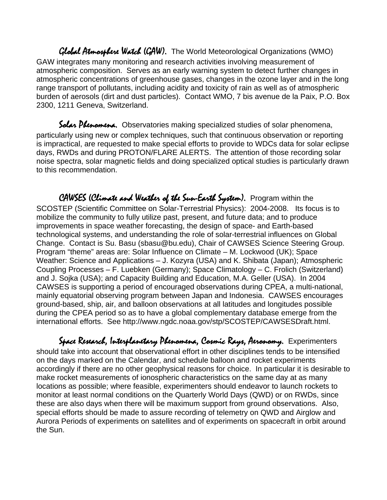Global Atmosphere Watch (GAW). The World Meteorological Organizations (WMO) GAW integrates many monitoring and research activities involving measurement of atmospheric composition. Serves as an early warning system to detect further changes in atmospheric concentrations of greenhouse gases, changes in the ozone layer and in the long range transport of pollutants, including acidity and toxicity of rain as well as of atmospheric burden of aerosols (dirt and dust particles). Contact WMO, 7 bis avenue de la Paix, P.O. Box 2300, 1211 Geneva, Switzerland.

Solar Phenomena. Observatories making specialized studies of solar phenomena, particularly using new or complex techniques, such that continuous observation or reporting is impractical, are requested to make special efforts to provide to WDCs data for solar eclipse days, RWDs and during PROTON/FLARE ALERTS. The attention of those recording solar noise spectra, solar magnetic fields and doing specialized optical studies is particularly drawn to this recommendation.

CAWSES (Climate and Weather of the Sun-Earth System). Program within the SCOSTEP (Scientific Committee on Solar-Terrestrial Physics): 2004-2008. Its focus is to mobilize the community to fully utilize past, present, and future data; and to produce improvements in space weather forecasting, the design of space- and Earth-based technological systems, and understanding the role of solar-terrestrial influences on Global Change. Contact is Su. Basu (sbasu@bu.edu), Chair of CAWSES Science Steering Group. Program "theme" areas are: Solar Influence on Climate – M. Lockwood (UK); Space Weather: Science and Applications – J. Kozyra (USA) and K. Shibata (Japan); Atmospheric Coupling Processes – F. Luebken (Germany); Space Climatology – C. Frolich (Switzerland) and J. Sojka (USA); and Capacity Building and Education, M.A. Geller (USA). In 2004 CAWSES is supporting a period of encouraged observations during CPEA, a multi-national, mainly equatorial observing program between Japan and Indonesia. CAWSES encourages ground-based, ship, air, and balloon observations at all latitudes and longitudes possible during the CPEA period so as to have a global complementary database emerge from the international efforts. See http://www.ngdc.noaa.gov/stp/SCOSTEP/CAWSESDraft.html.

Space Research, Interplanetary Phenomena, Cosmic Rays, Aeronomy. Experimenters should take into account that observational effort in other disciplines tends to be intensified on the days marked on the Calendar, and schedule balloon and rocket experiments accordingly if there are no other geophysical reasons for choice. In particular it is desirable to make rocket measurements of ionospheric characteristics on the same day at as many locations as possible; where feasible, experimenters should endeavor to launch rockets to monitor at least normal conditions on the Quarterly World Days (QWD) or on RWDs, since these are also days when there will be maximum support from ground observations. Also, special efforts should be made to assure recording of telemetry on QWD and Airglow and Aurora Periods of experiments on satellites and of experiments on spacecraft in orbit around the Sun.